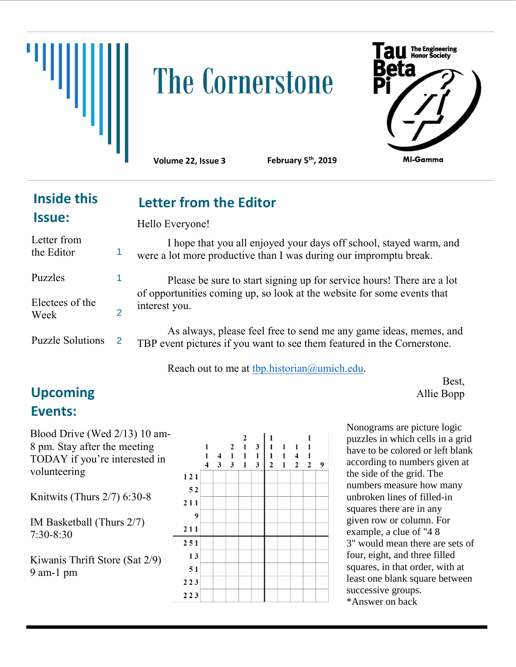

# The Cornerstone



**Volume 22, Issue 3** 

**Letter from the Editor**

**February 5<sup>th</sup>, 2019** 

## **Inside this Issue:**

Hello Everyone!

| Letter from<br>the Editor |               | I hope that you all enjoyed your days off school, stayed warm, and<br>were a lot more productive than I was during our impromptu break.      |
|---------------------------|---------------|----------------------------------------------------------------------------------------------------------------------------------------------|
| <b>Puzzles</b>            |               | Please be sure to start signing up for service hours! There are a lot                                                                        |
| Electees of the<br>Week   |               | of opportunities coming up, so look at the website for some events that<br>interest you.                                                     |
| <b>Puzzle Solutions</b>   | $\mathcal{P}$ | As always, please feel free to send me any game ideas, memes, and<br>TBP event pictures if you want to see them featured in the Cornerstone. |

Reach out to me at [tbp.historian@umich.edu.](mailto:tbp.historian@umich.edu)

## **Upcoming** Allie Bopp **Events:**

Best,

Blood Drive (Wed 2/13) 10 am-8 pm. Stay after the meeting TODAY if you're interested in volunteering

Knitwits (Thurs 2/7) 6:30-8

IM Basketball (Thurs 2/7) 7:30-8:30

Kiwanis Thrift Store (Sat 2/9) 9 am-1 pm



Nonograms are picture logic puzzles in which cells in a grid have to be colored or left blank according to numbers given at the side of the grid. The numbers measure how many unbroken lines of filled-in squares there are in any given row or column. For example, a clue of "4 8 3" would mean there are sets of four, eight, and three filled squares, in that order, with at least one blank square between successive groups. \*Answer on back